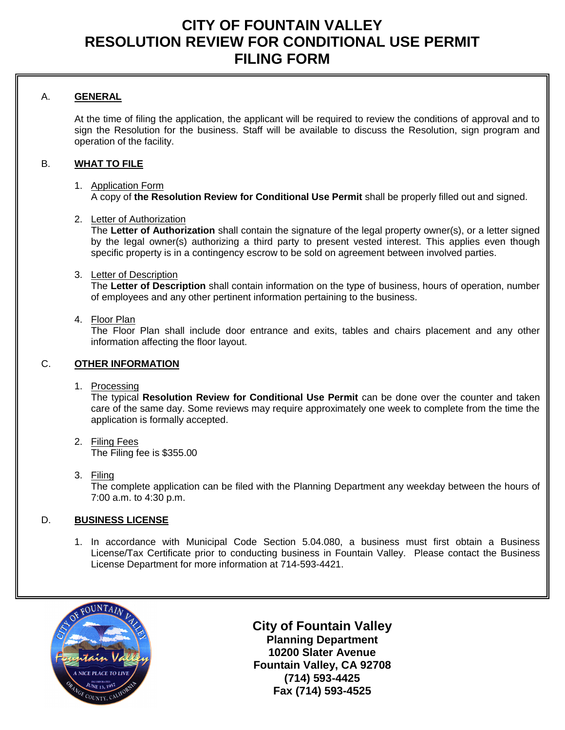## **CITY OF FOUNTAIN VALLEY RESOLUTION REVIEW FOR CONDITIONAL USE PERMIT FILING FORM**

## A. **GENERAL**

At the time of filing the application, the applicant will be required to review the conditions of approval and to sign the Resolution for the business. Staff will be available to discuss the Resolution, sign program and operation of the facility.

## B. **WHAT TO FILE**

#### 1. Application Form A copy of **the Resolution Review for Conditional Use Permit** shall be properly filled out and signed.

#### 2. Letter of Authorization

The **Letter of Authorization** shall contain the signature of the legal property owner(s), or a letter signed by the legal owner(s) authorizing a third party to present vested interest. This applies even though specific property is in a contingency escrow to be sold on agreement between involved parties.

#### 3. Letter of Description

The **Letter of Description** shall contain information on the type of business, hours of operation, number of employees and any other pertinent information pertaining to the business.

#### 4. Floor Plan

The Floor Plan shall include door entrance and exits, tables and chairs placement and any other information affecting the floor layout.

#### C. **OTHER INFORMATION**

1. Processing

The typical **Resolution Review for Conditional Use Permit** can be done over the counter and taken care of the same day. Some reviews may require approximately one week to complete from the time the application is formally accepted.

- 2. Filing Fees The Filing fee is \$355.00
- 3. Filing

The complete application can be filed with the Planning Department any weekday between the hours of 7:00 a.m. to 4:30 p.m.

## D. **BUSINESS LICENSE**

1. In accordance with [Municipal Code](http://qcode.us/codes/fountainvalley/) Section 5.04.080, a business must first obtain a Business License/Tax Certificate prior to conducting business in Fountain Valley. Please contact the Business License Department for more information at 714-593-4421.



**City of Fountain Valley Planning Department 10200 Slater Avenue Fountain Valley, CA 92708 (714) 593-4425 Fax (714) 593-4525**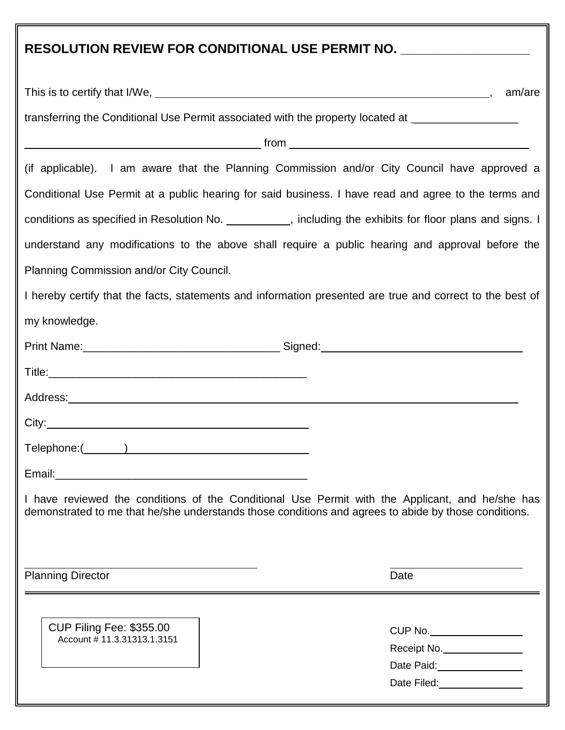| RESOLUTION REVIEW FOR CONDITIONAL USE PERMIT NO. ____________________                                                                                                                                   |
|---------------------------------------------------------------------------------------------------------------------------------------------------------------------------------------------------------|
| am/are                                                                                                                                                                                                  |
| transferring the Conditional Use Permit associated with the property located at ___________________                                                                                                     |
|                                                                                                                                                                                                         |
| (if applicable). I am aware that the Planning Commission and/or City Council have approved a                                                                                                            |
| Conditional Use Permit at a public hearing for said business. I have read and agree to the terms and                                                                                                    |
| conditions as specified in Resolution No. __________, including the exhibits for floor plans and signs. I                                                                                               |
| understand any modifications to the above shall require a public hearing and approval before the                                                                                                        |
| Planning Commission and/or City Council.                                                                                                                                                                |
| I hereby certify that the facts, statements and information presented are true and correct to the best of                                                                                               |
| my knowledge.                                                                                                                                                                                           |
|                                                                                                                                                                                                         |
|                                                                                                                                                                                                         |
|                                                                                                                                                                                                         |
| City:                                                                                                                                                                                                   |
|                                                                                                                                                                                                         |
|                                                                                                                                                                                                         |
| I have reviewed the conditions of the Conditional Use Permit with the Applicant, and he/she has<br>demonstrated to me that he/she understands those conditions and agrees to abide by those conditions. |
| <b>Planning Director</b><br>Date                                                                                                                                                                        |
| <b>CUP Filing Fee: \$355.00</b><br>CUP No.<br>Account # 11.3.31313.1.3151<br>Receipt No.<br>Date Paid:<br><u> </u>                                                                                      |